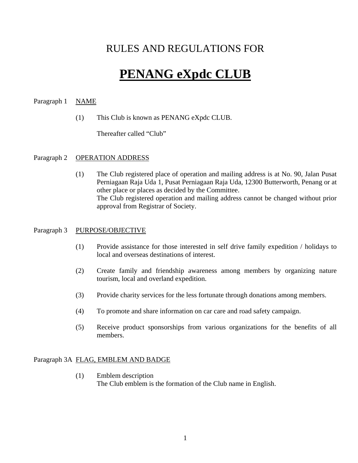# RULES AND REGULATIONS FOR

# **PENANG eXpdc CLUB**

# Paragraph 1 NAME

(1) This Club is known as PENANG eXpdc CLUB.

Thereafter called "Club"

# Paragraph 2 OPERATION ADDRESS

(1) The Club registered place of operation and mailing address is at No. 90, Jalan Pusat Perniagaan Raja Uda 1, Pusat Perniagaan Raja Uda, 12300 Butterworth, Penang or at other place or places as decided by the Committee. The Club registered operation and mailing address cannot be changed without prior approval from Registrar of Society.

# Paragraph 3 PURPOSE/OBJECTIVE

- (1) Provide assistance for those interested in self drive family expedition / holidays to local and overseas destinations of interest.
- (2) Create family and friendship awareness among members by organizing nature tourism, local and overland expedition.
- (3) Provide charity services for the less fortunate through donations among members.
- (4) To promote and share information on car care and road safety campaign.
- (5) Receive product sponsorships from various organizations for the benefits of all members.

# Paragraph 3A FLAG, EMBLEM AND BADGE

(1) Emblem description The Club emblem is the formation of the Club name in English.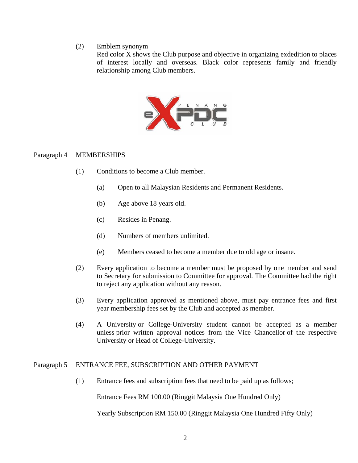#### (2) Emblem synonym

Red color X shows the Club purpose and objective in organizing exdedition to places of interest locally and overseas. Black color represents family and friendly relationship among Club members.



#### Paragraph 4 MEMBERSHIPS

- (1) Conditions to become a Club member.
	- (a) Open to all Malaysian Residents and Permanent Residents.
	- (b) Age above 18 years old.
	- (c) Resides in Penang.
	- (d) Numbers of members unlimited.
	- (e) Members ceased to become a member due to old age or insane.
- (2) Every application to become a member must be proposed by one member and send to Secretary for submission to Committee for approval. The Committee had the right to reject any application without any reason.
- (3) Every application approved as mentioned above, must pay entrance fees and first year membership fees set by the Club and accepted as member.
- (4) A University or College-University student cannot be accepted as a member unless prior written approval notices from the Vice Chancellor of the respective University or Head of College-University.

# Paragraph 5 ENTRANCE FEE, SUBSCRIPTION AND OTHER PAYMENT

(1) Entrance fees and subscription fees that need to be paid up as follows;

Entrance Fees RM 100.00 (Ringgit Malaysia One Hundred Only)

Yearly Subscription RM 150.00 (Ringgit Malaysia One Hundred Fifty Only)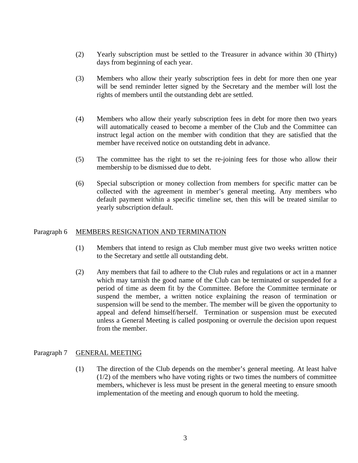- (2) Yearly subscription must be settled to the Treasurer in advance within 30 (Thirty) days from beginning of each year.
- (3) Members who allow their yearly subscription fees in debt for more then one year will be send reminder letter signed by the Secretary and the member will lost the rights of members until the outstanding debt are settled.
- (4) Members who allow their yearly subscription fees in debt for more then two years will automatically ceased to become a member of the Club and the Committee can instruct legal action on the member with condition that they are satisfied that the member have received notice on outstanding debt in advance.
- (5) The committee has the right to set the re-joining fees for those who allow their membership to be dismissed due to debt.
- (6) Special subscription or money collection from members for specific matter can be collected with the agreement in member's general meeting. Any members who default payment within a specific timeline set, then this will be treated similar to yearly subscription default.

# Paragraph 6 MEMBERS RESIGNATION AND TERMINATION

- (1) Members that intend to resign as Club member must give two weeks written notice to the Secretary and settle all outstanding debt.
- (2) Any members that fail to adhere to the Club rules and regulations or act in a manner which may tarnish the good name of the Club can be terminated or suspended for a period of time as deem fit by the Committee. Before the Committee terminate or suspend the member, a written notice explaining the reason of termination or suspension will be send to the member. The member will be given the opportunity to appeal and defend himself/herself. Termination or suspension must be executed unless a General Meeting is called postponing or overrule the decision upon request from the member.

# Paragraph 7 GENERAL MEETING

(1) The direction of the Club depends on the member's general meeting. At least halve  $(1/2)$  of the members who have voting rights or two times the numbers of committee members, whichever is less must be present in the general meeting to ensure smooth implementation of the meeting and enough quorum to hold the meeting.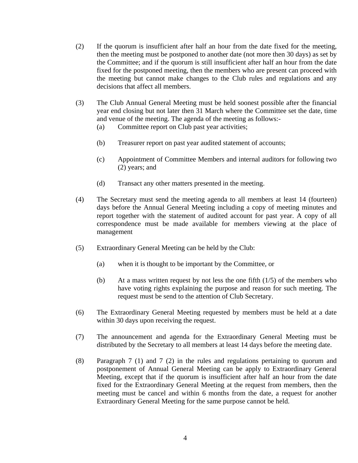- (2) If the quorum is insufficient after half an hour from the date fixed for the meeting, then the meeting must be postponed to another date (not more then 30 days) as set by the Committee; and if the quorum is still insufficient after half an hour from the date fixed for the postponed meeting, then the members who are present can proceed with the meeting but cannot make changes to the Club rules and regulations and any decisions that affect all members.
- (3) The Club Annual General Meeting must be held soonest possible after the financial year end closing but not later then 31 March where the Committee set the date, time and venue of the meeting. The agenda of the meeting as follows:-
	- (a) Committee report on Club past year activities;
	- (b) Treasurer report on past year audited statement of accounts;
	- (c) Appointment of Committee Members and internal auditors for following two (2) years; and
	- (d) Transact any other matters presented in the meeting.
- (4) The Secretary must send the meeting agenda to all members at least 14 (fourteen) days before the Annual General Meeting including a copy of meeting minutes and report together with the statement of audited account for past year. A copy of all correspondence must be made available for members viewing at the place of management
- (5) Extraordinary General Meeting can be held by the Club:
	- (a) when it is thought to be important by the Committee, or
	- (b) At a mass written request by not less the one fifth  $(1/5)$  of the members who have voting rights explaining the purpose and reason for such meeting. The request must be send to the attention of Club Secretary.
- (6) The Extraordinary General Meeting requested by members must be held at a date within 30 days upon receiving the request.
- (7) The announcement and agenda for the Extraordinary General Meeting must be distributed by the Secretary to all members at least 14 days before the meeting date.
- (8) Paragraph 7 (1) and 7 (2) in the rules and regulations pertaining to quorum and postponement of Annual General Meeting can be apply to Extraordinary General Meeting, except that if the quorum is insufficient after half an hour from the date fixed for the Extraordinary General Meeting at the request from members, then the meeting must be cancel and within 6 months from the date, a request for another Extraordinary General Meeting for the same purpose cannot be held.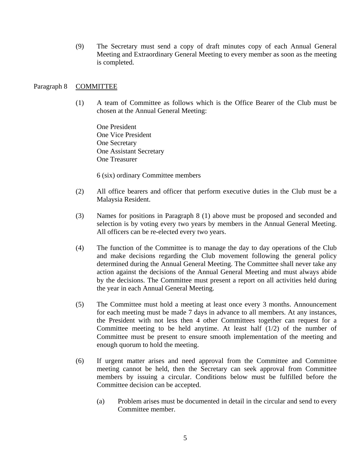(9) The Secretary must send a copy of draft minutes copy of each Annual General Meeting and Extraordinary General Meeting to every member as soon as the meeting is completed.

#### Paragraph 8 COMMITTEE

(1) A team of Committee as follows which is the Office Bearer of the Club must be chosen at the Annual General Meeting:

One President One Vice President One Secretary One Assistant Secretary One Treasurer

6 (six) ordinary Committee members

- (2) All office bearers and officer that perform executive duties in the Club must be a Malaysia Resident.
- (3) Names for positions in Paragraph 8 (1) above must be proposed and seconded and selection is by voting every two years by members in the Annual General Meeting. All officers can be re-elected every two years.
- (4) The function of the Committee is to manage the day to day operations of the Club and make decisions regarding the Club movement following the general policy determined during the Annual General Meeting. The Committee shall never take any action against the decisions of the Annual General Meeting and must always abide by the decisions. The Committee must present a report on all activities held during the year in each Annual General Meeting.
- (5) The Committee must hold a meeting at least once every 3 months. Announcement for each meeting must be made 7 days in advance to all members. At any instances, the President with not less then 4 other Committees together can request for a Committee meeting to be held anytime. At least half  $(1/2)$  of the number of Committee must be present to ensure smooth implementation of the meeting and enough quorum to hold the meeting.
- (6) If urgent matter arises and need approval from the Committee and Committee meeting cannot be held, then the Secretary can seek approval from Committee members by issuing a circular. Conditions below must be fulfilled before the Committee decision can be accepted.
	- (a) Problem arises must be documented in detail in the circular and send to every Committee member.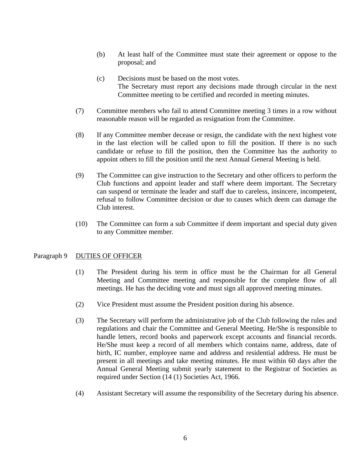- (b) At least half of the Committee must state their agreement or oppose to the proposal; and
- (c) Decisions must be based on the most votes. The Secretary must report any decisions made through circular in the next Committee meeting to be certified and recorded in meeting minutes.
- (7) Committee members who fail to attend Committee meeting 3 times in a row without reasonable reason will be regarded as resignation from the Committee.
- (8) If any Committee member decease or resign, the candidate with the next highest vote in the last election will be called upon to fill the position. If there is no such candidate or refuse to fill the position, then the Committee has the authority to appoint others to fill the position until the next Annual General Meeting is held.
- (9) The Committee can give instruction to the Secretary and other officers to perform the Club functions and appoint leader and staff where deem important. The Secretary can suspend or terminate the leader and staff due to careless, insincere, incompetent, refusal to follow Committee decision or due to causes which deem can damage the Club interest.
- (10) The Committee can form a sub Committee if deem important and special duty given to any Committee member.

# Paragraph 9 DUTIES OF OFFICER

- (1) The President during his term in office must be the Chairman for all General Meeting and Committee meeting and responsible for the complete flow of all meetings. He has the deciding vote and must sign all approved meeting minutes.
- (2) Vice President must assume the President position during his absence.
- (3) The Secretary will perform the administrative job of the Club following the rules and regulations and chair the Committee and General Meeting. He/She is responsible to handle letters, record books and paperwork except accounts and financial records. He/She must keep a record of all members which contains name, address, date of birth, IC number, employee name and address and residential address. He must be present in all meetings and take meeting minutes. He must within 60 days after the Annual General Meeting submit yearly statement to the Registrar of Societies as required under Section (14 (1) Societies Act, 1966.
- (4) Assistant Secretary will assume the responsibility of the Secretary during his absence.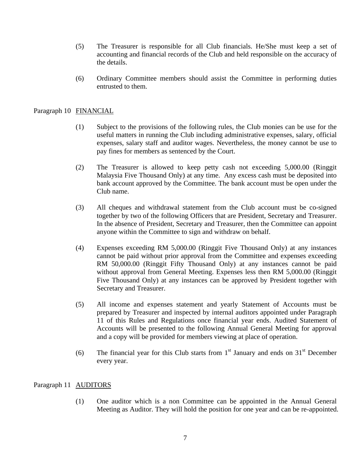- (5) The Treasurer is responsible for all Club financials. He/She must keep a set of accounting and financial records of the Club and held responsible on the accuracy of the details.
- (6) Ordinary Committee members should assist the Committee in performing duties entrusted to them.

#### Paragraph 10 FINANCIAL

- (1) Subject to the provisions of the following rules, the Club monies can be use for the useful matters in running the Club including administrative expenses, salary, official expenses, salary staff and auditor wages. Nevertheless, the money cannot be use to pay fines for members as sentenced by the Court.
- (2) The Treasurer is allowed to keep petty cash not exceeding 5,000.00 (Ringgit Malaysia Five Thousand Only) at any time. Any excess cash must be deposited into bank account approved by the Committee. The bank account must be open under the Club name.
- (3) All cheques and withdrawal statement from the Club account must be co-signed together by two of the following Officers that are President, Secretary and Treasurer. In the absence of President, Secretary and Treasurer, then the Committee can appoint anyone within the Committee to sign and withdraw on behalf.
- (4) Expenses exceeding RM 5,000.00 (Ringgit Five Thousand Only) at any instances cannot be paid without prior approval from the Committee and expenses exceeding RM 50,000.00 (Ringgit Fifty Thousand Only) at any instances cannot be paid without approval from General Meeting. Expenses less then RM 5,000.00 (Ringgit Five Thousand Only) at any instances can be approved by President together with Secretary and Treasurer.
- (5) All income and expenses statement and yearly Statement of Accounts must be prepared by Treasurer and inspected by internal auditors appointed under Paragraph 11 of this Rules and Regulations once financial year ends. Audited Statement of Accounts will be presented to the following Annual General Meeting for approval and a copy will be provided for members viewing at place of operation.
- (6) The financial year for this Club starts from  $1<sup>st</sup>$  January and ends on  $31<sup>st</sup>$  December every year.

#### Paragraph 11 AUDITORS

(1) One auditor which is a non Committee can be appointed in the Annual General Meeting as Auditor. They will hold the position for one year and can be re-appointed.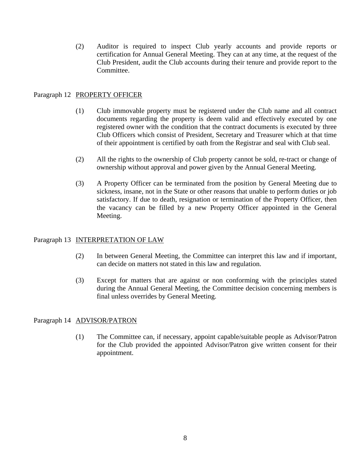(2) Auditor is required to inspect Club yearly accounts and provide reports or certification for Annual General Meeting. They can at any time, at the request of the Club President, audit the Club accounts during their tenure and provide report to the Committee.

# Paragraph 12 PROPERTY OFFICER

- (1) Club immovable property must be registered under the Club name and all contract documents regarding the property is deem valid and effectively executed by one registered owner with the condition that the contract documents is executed by three Club Officers which consist of President, Secretary and Treasurer which at that time of their appointment is certified by oath from the Registrar and seal with Club seal.
- (2) All the rights to the ownership of Club property cannot be sold, re-tract or change of ownership without approval and power given by the Annual General Meeting.
- (3) A Property Officer can be terminated from the position by General Meeting due to sickness, insane, not in the State or other reasons that unable to perform duties or job satisfactory. If due to death, resignation or termination of the Property Officer, then the vacancy can be filled by a new Property Officer appointed in the General Meeting.

# Paragraph 13 INTERPRETATION OF LAW

- (2) In between General Meeting, the Committee can interpret this law and if important, can decide on matters not stated in this law and regulation.
- (3) Except for matters that are against or non conforming with the principles stated during the Annual General Meeting, the Committee decision concerning members is final unless overrides by General Meeting.

# Paragraph 14 ADVISOR/PATRON

(1) The Committee can, if necessary, appoint capable/suitable people as Advisor/Patron for the Club provided the appointed Advisor/Patron give written consent for their appointment.